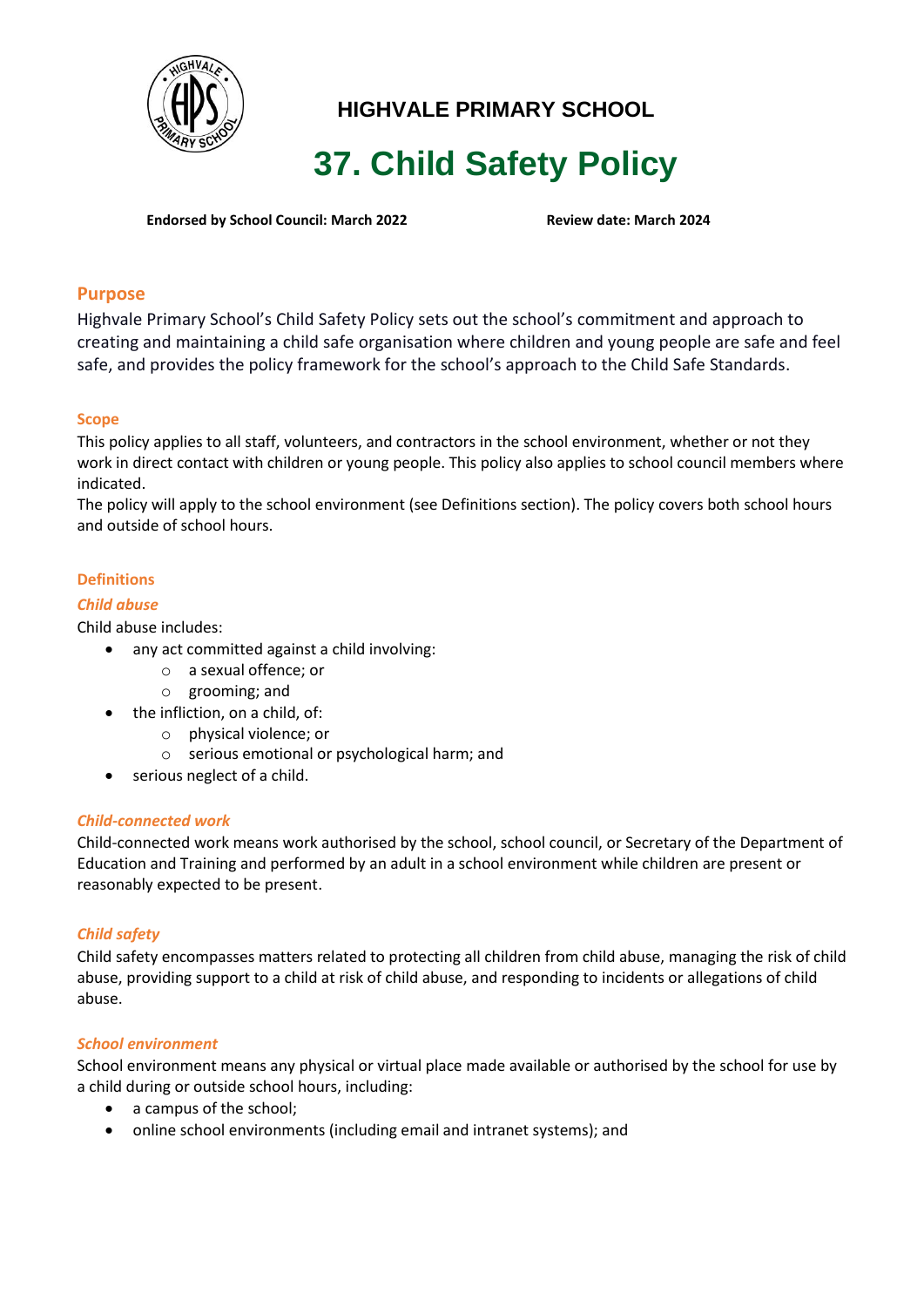

## **HIGHVALE PRIMARY SCHOOL**

# **37. Child Safety Policy**

**Endorsed by School Council: March 2022 Review date: March 2024**

## **Purpose**

Highvale Primary School's Child Safety Policy sets out the school's commitment and approach to creating and maintaining a child safe organisation where children and young people are safe and feel safe, and provides the policy framework for the school's approach to the Child Safe Standards.

## **Scope**

This policy applies to all staff, volunteers, and contractors in the school environment, whether or not they work in direct contact with children or young people. This policy also applies to school council members where indicated.

The policy will apply to the school environment (see Definitions section). The policy covers both school hours and outside of school hours.

## **Definitions**

#### *Child abuse*

Child abuse includes:

- any act committed against a child involving:
	- o a sexual offence; or
	- o grooming; and
- the infliction, on a child, of:
	- o physical violence; or
	- o serious emotional or psychological harm; and
- serious neglect of a child.

#### *Child-connected work*

Child-connected work means work authorised by the school, school council, or Secretary of the Department of Education and Training and performed by an adult in a school environment while children are present or reasonably expected to be present.

#### *Child safety*

Child safety encompasses matters related to protecting all children from child abuse, managing the risk of child abuse, providing support to a child at risk of child abuse, and responding to incidents or allegations of child abuse.

#### *School environment*

School environment means any physical or virtual place made available or authorised by the school for use by a child during or outside school hours, including:

- a campus of the school;
- online school environments (including email and intranet systems); and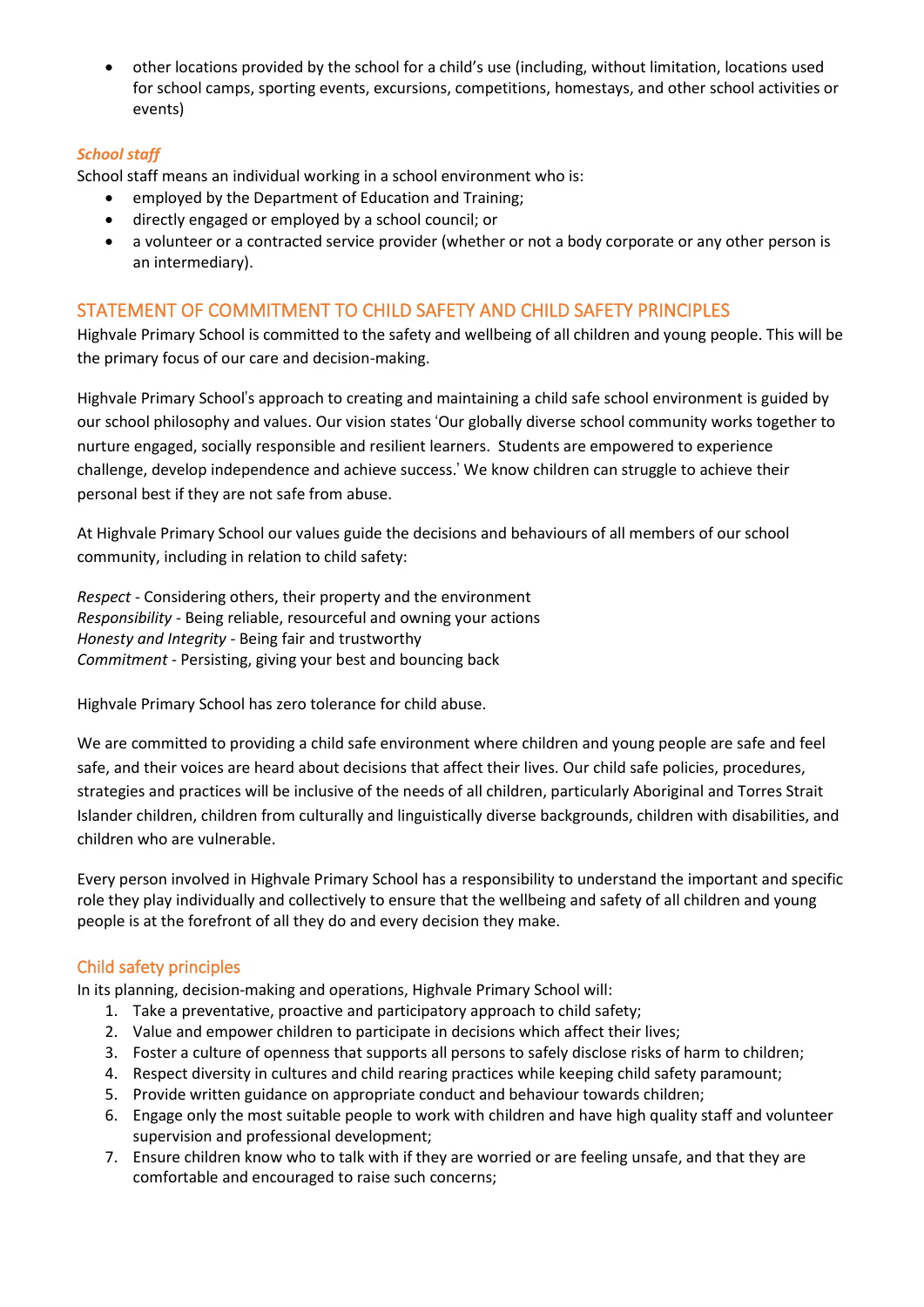• other locations provided by the school for a child's use (including, without limitation, locations used for school camps, sporting events, excursions, competitions, homestays, and other school activities or events)

## *School staff*

School staff means an individual working in a school environment who is:

- employed by the Department of Education and Training;
- directly engaged or employed by a school council; or
- a volunteer or a contracted service provider (whether or not a body corporate or any other person is an intermediary).

## STATEMENT OF COMMITMENT TO CHILD SAFETY AND CHILD SAFETY PRINCIPLES

Highvale Primary School is committed to the safety and wellbeing of all children and young people. This will be the primary focus of our care and decision-making.

Highvale Primary School's approach to creating and maintaining a child safe school environment is guided by our school philosophy and values. Our vision states 'Our globally diverse school community works together to nurture engaged, socially responsible and resilient learners. Students are empowered to experience challenge, develop independence and achieve success.' We know children can struggle to achieve their personal best if they are not safe from abuse.

At Highvale Primary School our values guide the decisions and behaviours of all members of our school community, including in relation to child safety:

*Respect* - Considering others, their property and the environment *Responsibility* - Being reliable, resourceful and owning your actions *Honesty and Integrity* - Being fair and trustworthy *Commitment* - Persisting, giving your best and bouncing back

Highvale Primary School has zero tolerance for child abuse.

We are committed to providing a child safe environment where children and young people are safe and feel safe, and their voices are heard about decisions that affect their lives. Our child safe policies, procedures, strategies and practices will be inclusive of the needs of all children, particularly Aboriginal and Torres Strait Islander children, children from culturally and linguistically diverse backgrounds, children with disabilities, and children who are vulnerable.

Every person involved in Highvale Primary School has a responsibility to understand the important and specific role they play individually and collectively to ensure that the wellbeing and safety of all children and young people is at the forefront of all they do and every decision they make.

## Child safety principles

In its planning, decision-making and operations, Highvale Primary School will:

- 1. Take a preventative, proactive and participatory approach to child safety;
- 2. Value and empower children to participate in decisions which affect their lives;
- 3. Foster a culture of openness that supports all persons to safely disclose risks of harm to children;
- 4. Respect diversity in cultures and child rearing practices while keeping child safety paramount;
- 5. Provide written guidance on appropriate conduct and behaviour towards children;
- 6. Engage only the most suitable people to work with children and have high quality staff and volunteer supervision and professional development;
- 7. Ensure children know who to talk with if they are worried or are feeling unsafe, and that they are comfortable and encouraged to raise such concerns;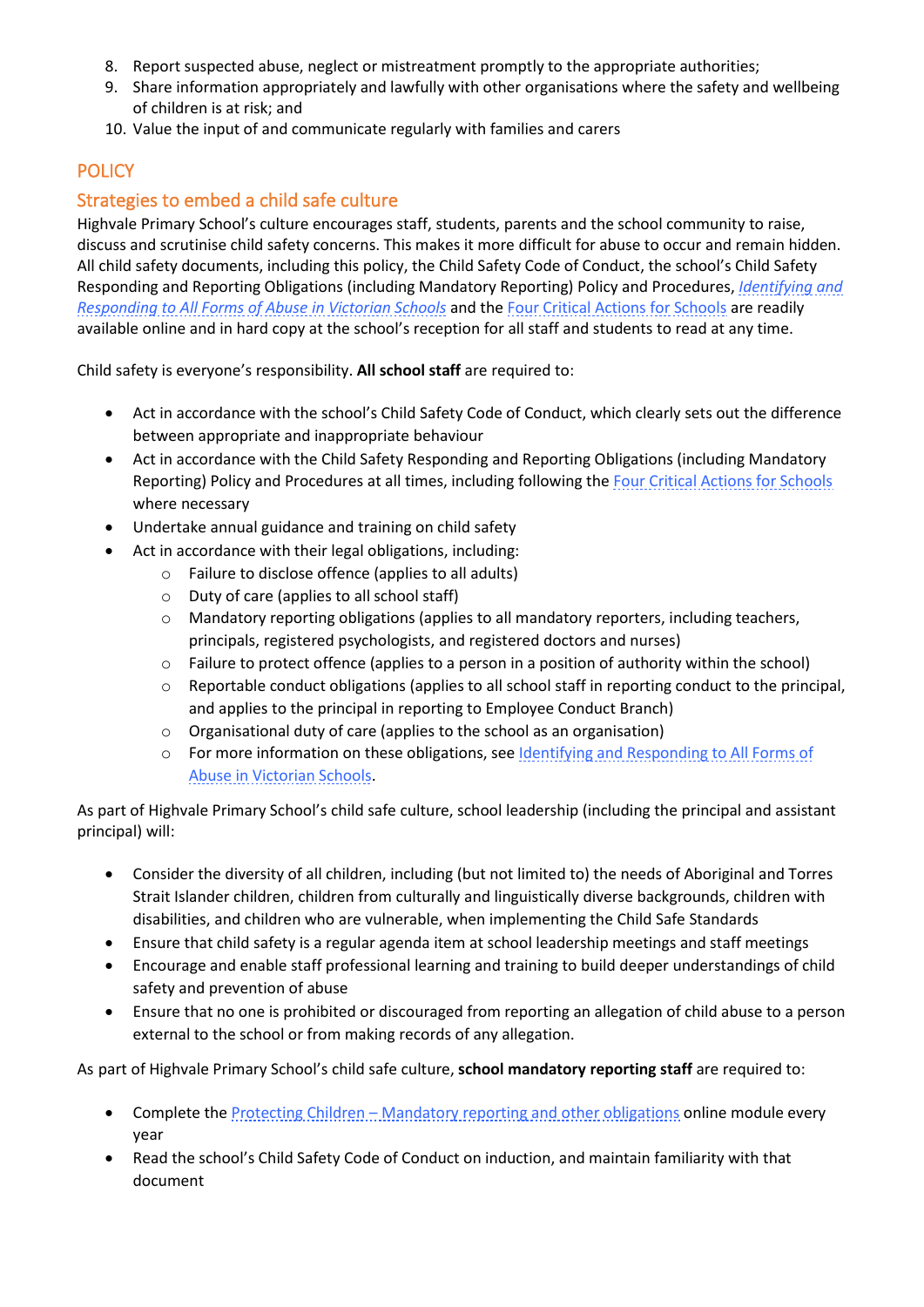- 8. Report suspected abuse, neglect or mistreatment promptly to the appropriate authorities;
- 9. Share information appropriately and lawfully with other organisations where the safety and wellbeing of children is at risk; and
- 10. Value the input of and communicate regularly with families and carers

## **POLICY**

## Strategies to embed a child safe culture

Highvale Primary School's culture encourages staff, students, parents and the school community to raise, discuss and scrutinise child safety concerns. This makes it more difficult for abuse to occur and remain hidden. All child safety documents, including this policy, the Child Safety Code of Conduct, the school's Child Safety Responding and Reporting Obligations (including Mandatory Reporting) Policy and Procedures, *[Identifying and](https://www.education.vic.gov.au/Documents/about/programs/health/protect/ChildSafeStandard5_SchoolsGuide.pdf)  [Responding to All Forms of Abuse in Victorian Schools](https://www.education.vic.gov.au/Documents/about/programs/health/protect/ChildSafeStandard5_SchoolsGuide.pdf)* and the [Four Critical Actions for Schools](https://www.education.vic.gov.au/Documents/about/programs/health/protect/FourCriticalActions_ChildAbuse.pdf) are readily available online and in hard copy at the school's reception for all staff and students to read at any time.

Child safety is everyone's responsibility. **All school staff** are required to:

- Act in accordance with the school's Child Safety Code of Conduct, which clearly sets out the difference between appropriate and inappropriate behaviour
- Act in accordance with the Child Safety Responding and Reporting Obligations (including Mandatory Reporting) Policy and Procedures at all times, including following the [Four Critical Actions for Schools](https://www.education.vic.gov.au/Documents/about/programs/health/protect/FourCriticalActions_ChildAbuse.pdf) where necessary
- Undertake annual guidance and training on child safety
- Act in accordance with their legal obligations, including:
	- o Failure to disclose offence (applies to all adults)
	- o Duty of care (applies to all school staff)
	- o Mandatory reporting obligations (applies to all mandatory reporters, including teachers, principals, registered psychologists, and registered doctors and nurses)
	- o Failure to protect offence (applies to a person in a position of authority within the school)
	- o Reportable conduct obligations (applies to all school staff in reporting conduct to the principal, and applies to the principal in reporting to Employee Conduct Branch)
	- o Organisational duty of care (applies to the school as an organisation)
	- o For more information on these obligations, see [Identifying and Responding to All Forms of](https://www.education.vic.gov.au/Documents/about/programs/health/protect/ChildSafeStandard5_SchoolsGuide.pdf)  [Abuse in Victorian Schools.](https://www.education.vic.gov.au/Documents/about/programs/health/protect/ChildSafeStandard5_SchoolsGuide.pdf)

As part of Highvale Primary School's child safe culture, school leadership (including the principal and assistant principal) will:

- Consider the diversity of all children, including (but not limited to) the needs of Aboriginal and Torres Strait Islander children, children from culturally and linguistically diverse backgrounds, children with disabilities, and children who are vulnerable, when implementing the Child Safe Standards
- Ensure that child safety is a regular agenda item at school leadership meetings and staff meetings
- Encourage and enable staff professional learning and training to build deeper understandings of child safety and prevention of abuse
- Ensure that no one is prohibited or discouraged from reporting an allegation of child abuse to a person external to the school or from making records of any allegation.

As part of Highvale Primary School's child safe culture, **school mandatory reporting staff** are required to:

- Complete the Protecting Children [Mandatory reporting and other obligations](http://elearn.com.au/det/protectingchildren/) online module every year
- Read the school's Child Safety Code of Conduct on induction, and maintain familiarity with that document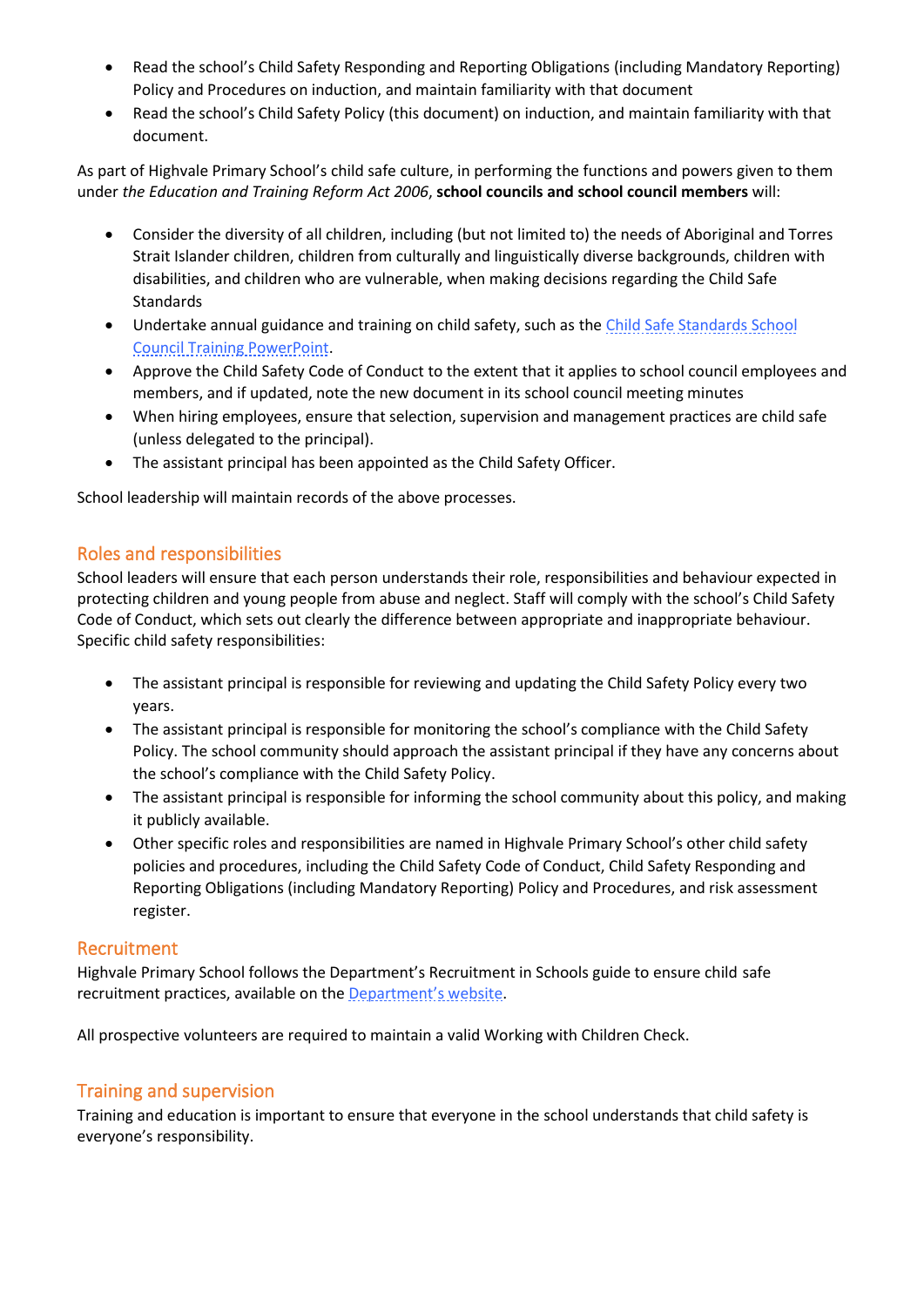- Read the school's Child Safety Responding and Reporting Obligations (including Mandatory Reporting) Policy and Procedures on induction, and maintain familiarity with that document
- Read the school's Child Safety Policy (this document) on induction, and maintain familiarity with that document.

As part of Highvale Primary School's child safe culture, in performing the functions and powers given to them under *the Education and Training Reform Act 2006*, **school councils and school council members** will:

- Consider the diversity of all children, including (but not limited to) the needs of Aboriginal and Torres Strait Islander children, children from culturally and linguistically diverse backgrounds, children with disabilities, and children who are vulnerable, when making decisions regarding the Child Safe **Standards**
- Undertake annual guidance and training on child safety, such as the Child Safe Standards School [Council Training](https://www.education.vic.gov.au/Documents/about/programs/health/protect/school-council-training.pptx) PowerPoint.
- Approve the Child Safety Code of Conduct to the extent that it applies to school council employees and members, and if updated, note the new document in its school council meeting minutes
- When hiring employees, ensure that selection, supervision and management practices are child safe (unless delegated to the principal).
- The assistant principal has been appointed as the Child Safety Officer.

School leadership will maintain records of the above processes.

## Roles and responsibilities

School leaders will ensure that each person understands their role, responsibilities and behaviour expected in protecting children and young people from abuse and neglect. Staff will comply with the school's Child Safety Code of Conduct, which sets out clearly the difference between appropriate and inappropriate behaviour. Specific child safety responsibilities:

- The assistant principal is responsible for reviewing and updating the Child Safety Policy every two years.
- The assistant principal is responsible for monitoring the school's compliance with the Child Safety Policy. The school community should approach the assistant principal if they have any concerns about the school's compliance with the Child Safety Policy.
- The assistant principal is responsible for informing the school community about this policy, and making it publicly available.
- Other specific roles and responsibilities are named in Highvale Primary School's other child safety policies and procedures, including the Child Safety Code of Conduct, Child Safety Responding and Reporting Obligations (including Mandatory Reporting) Policy and Procedures, and risk assessment register.

#### Recruitment

Highvale Primary School follows the Department's Recruitment in Schools guide to ensure child safe recruitment practices, available on the **[Department'](https://www.education.vic.gov.au/hrweb/careers/Pages/recruitinsch.aspx)s website**.

All prospective volunteers are required to maintain a valid Working with Children Check.

## Training and supervision

Training and education is important to ensure that everyone in the school understands that child safety is everyone's responsibility.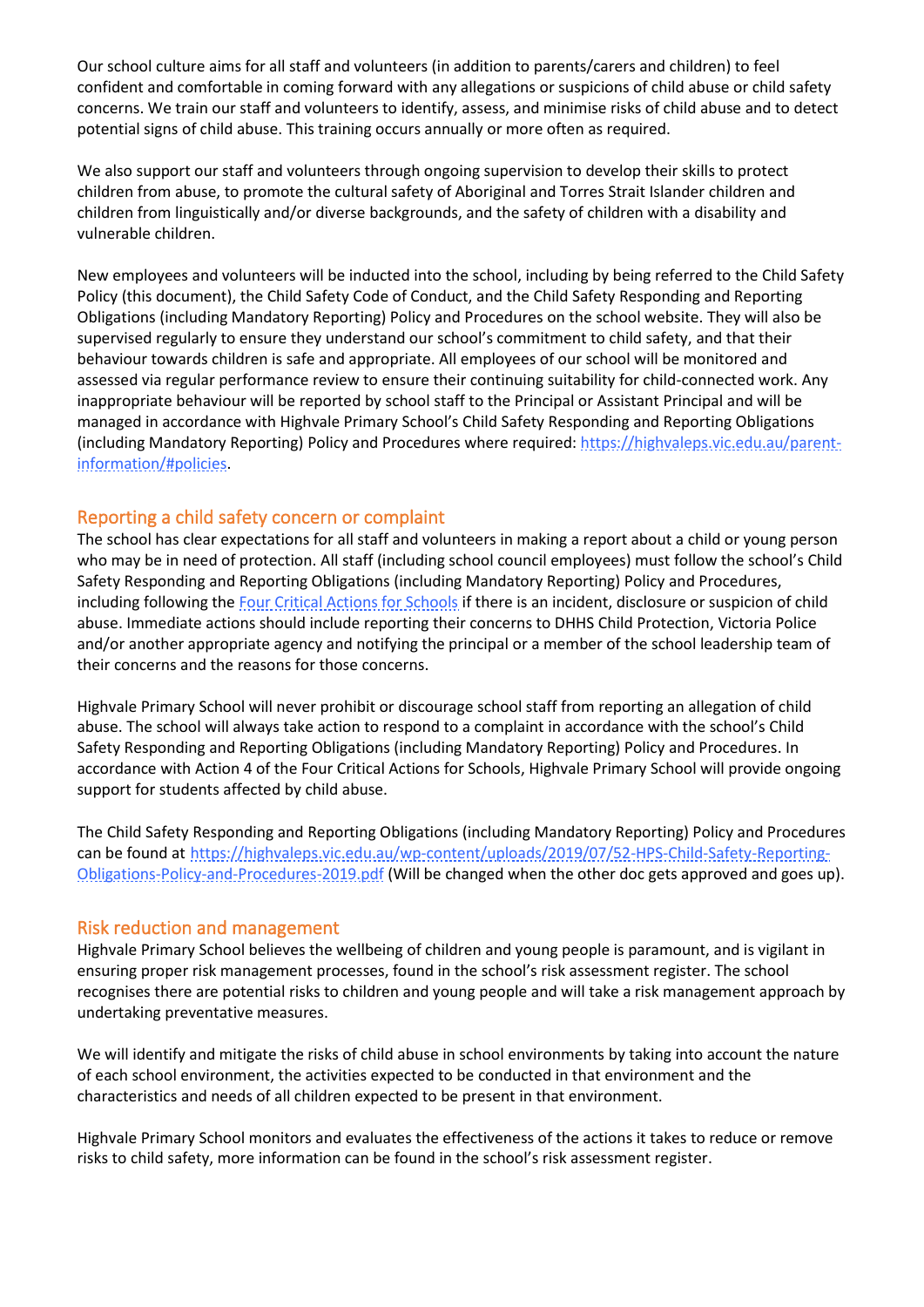Our school culture aims for all staff and volunteers (in addition to parents/carers and children) to feel confident and comfortable in coming forward with any allegations or suspicions of child abuse or child safety concerns. We train our staff and volunteers to identify, assess, and minimise risks of child abuse and to detect potential signs of child abuse. This training occurs annually or more often as required.

We also support our staff and volunteers through ongoing supervision to develop their skills to protect children from abuse, to promote the cultural safety of Aboriginal and Torres Strait Islander children and children from linguistically and/or diverse backgrounds, and the safety of children with a disability and vulnerable children.

New employees and volunteers will be inducted into the school, including by being referred to the Child Safety Policy (this document), the Child Safety Code of Conduct, and the Child Safety Responding and Reporting Obligations (including Mandatory Reporting) Policy and Procedures on the school website. They will also be supervised regularly to ensure they understand our school's commitment to child safety, and that their behaviour towards children is safe and appropriate. All employees of our school will be monitored and assessed via regular performance review to ensure their continuing suitability for child-connected work. Any inappropriate behaviour will be reported by school staff to the Principal or Assistant Principal and will be managed in accordance with Highvale Primary School's Child Safety Responding and Reporting Obligations (including Mandatory Reporting) Policy and Procedures where required: [https://highvaleps.vic.edu.au/parent](https://highvaleps.vic.edu.au/parent-information/#policies)[information/#policies.](https://highvaleps.vic.edu.au/parent-information/#policies)

## Reporting a child safety concern or complaint

The school has clear expectations for all staff and volunteers in making a report about a child or young person who may be in need of protection. All staff (including school council employees) must follow the school's Child Safety Responding and Reporting Obligations (including Mandatory Reporting) Policy and Procedures, including following the [Four Critical Actions for Schools](https://www.education.vic.gov.au/Documents/about/programs/health/protect/FourCriticalActions_ChildAbuse.pdf) if there is an incident, disclosure or suspicion of child abuse. Immediate actions should include reporting their concerns to DHHS Child Protection, Victoria Police and/or another appropriate agency and notifying the principal or a member of the school leadership team of their concerns and the reasons for those concerns.

Highvale Primary School will never prohibit or discourage school staff from reporting an allegation of child abuse. The school will always take action to respond to a complaint in accordance with the school's Child Safety Responding and Reporting Obligations (including Mandatory Reporting) Policy and Procedures. In accordance with Action 4 of the Four Critical Actions for Schools, Highvale Primary School will provide ongoing support for students affected by child abuse.

The Child Safety Responding and Reporting Obligations (including Mandatory Reporting) Policy and Procedures can be found at [https://highvaleps.vic.edu.au/wp-content/uploads/2019/07/52-HPS-Child-Safety-Reporting-](https://highvaleps.vic.edu.au/wp-content/uploads/2019/07/52-HPS-Child-Safety-Reporting-Obligations-Policy-and-Procedures-2019.pdf)[Obligations-Policy-and-Procedures-2019.pdf](https://highvaleps.vic.edu.au/wp-content/uploads/2019/07/52-HPS-Child-Safety-Reporting-Obligations-Policy-and-Procedures-2019.pdf) (Will be changed when the other doc gets approved and goes up).

#### Risk reduction and management

Highvale Primary School believes the wellbeing of children and young people is paramount, and is vigilant in ensuring proper risk management processes, found in the school's risk assessment register. The school recognises there are potential risks to children and young people and will take a risk management approach by undertaking preventative measures.

We will identify and mitigate the risks of child abuse in school environments by taking into account the nature of each school environment, the activities expected to be conducted in that environment and the characteristics and needs of all children expected to be present in that environment.

Highvale Primary School monitors and evaluates the effectiveness of the actions it takes to reduce or remove risks to child safety, more information can be found in the school's risk assessment register.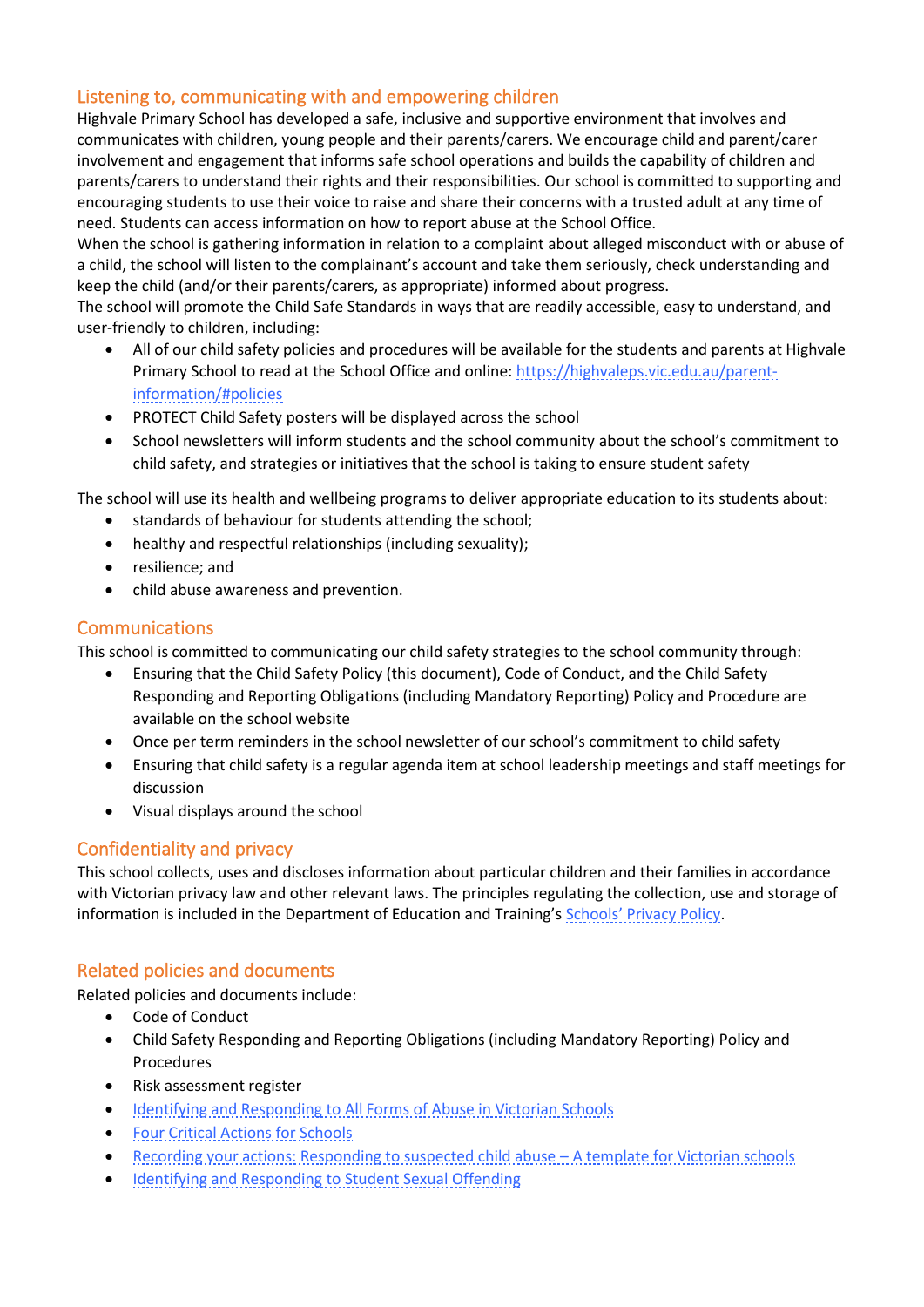## Listening to, communicating with and empowering children

Highvale Primary School has developed a safe, inclusive and supportive environment that involves and communicates with children, young people and their parents/carers. We encourage child and parent/carer involvement and engagement that informs safe school operations and builds the capability of children and parents/carers to understand their rights and their responsibilities. Our school is committed to supporting and encouraging students to use their voice to raise and share their concerns with a trusted adult at any time of need. Students can access information on how to report abuse at the School Office.

When the school is gathering information in relation to a complaint about alleged misconduct with or abuse of a child, the school will listen to the complainant's account and take them seriously, check understanding and keep the child (and/or their parents/carers, as appropriate) informed about progress.

The school will promote the Child Safe Standards in ways that are readily accessible, easy to understand, and user-friendly to children, including:

- All of our child safety policies and procedures will be available for the students and parents at Highvale Primary School to read at the School Office and online[: https://highvaleps.vic.edu.au/parent](https://highvaleps.vic.edu.au/parent-information/#policies)[information/#policies](https://highvaleps.vic.edu.au/parent-information/#policies)
- PROTECT Child Safety posters will be displayed across the school
- School newsletters will inform students and the school community about the school's commitment to child safety, and strategies or initiatives that the school is taking to ensure student safety

The school will use its health and wellbeing programs to deliver appropriate education to its students about:

- standards of behaviour for students attending the school;
- healthy and respectful relationships (including sexuality);
- resilience; and
- child abuse awareness and prevention.

#### Communications

This school is committed to communicating our child safety strategies to the school community through:

- Ensuring that the Child Safety Policy (this document), Code of Conduct, and the Child Safety Responding and Reporting Obligations (including Mandatory Reporting) Policy and Procedure are available on the school website
- Once per term reminders in the school newsletter of our school's commitment to child safety
- Ensuring that child safety is a regular agenda item at school leadership meetings and staff meetings for discussion
- Visual displays around the school

## Confidentiality and privacy

This school collects, uses and discloses information about particular children and their families in accordance with Victorian privacy law and other relevant laws. The principles regulating the collection, use and storage of information is included in the Department of Education and Training's Schools' [Privacy Policy.](https://www.education.vic.gov.au/Pages/schoolsprivacypolicy.aspx)

## Related policies and documents

Related policies and documents include:

- Code of Conduct
- Child Safety Responding and Reporting Obligations (including Mandatory Reporting) Policy and Procedures
- Risk assessment register
- [Identifying and Responding to All Forms of Abuse in Victorian Schools](https://www.education.vic.gov.au/Documents/about/programs/health/protect/ChildSafeStandard5_SchoolsGuide.pdf)
- [Four Critical Actions for Schools](https://www.education.vic.gov.au/Documents/about/programs/health/protect/FourCriticalActions_ChildAbuse.pdf)
- Recording [your actions: Responding to suspected child abuse](https://www.education.vic.gov.au/Documents/about/programs/health/protect/PROTECT_Schoolstemplate.pdf)  A template for Victorian schools
- Identifying [and Responding to Student Sexual Offending](https://www.education.vic.gov.au/Documents/about/programs/health/protect/SSO_Policy.pdf)